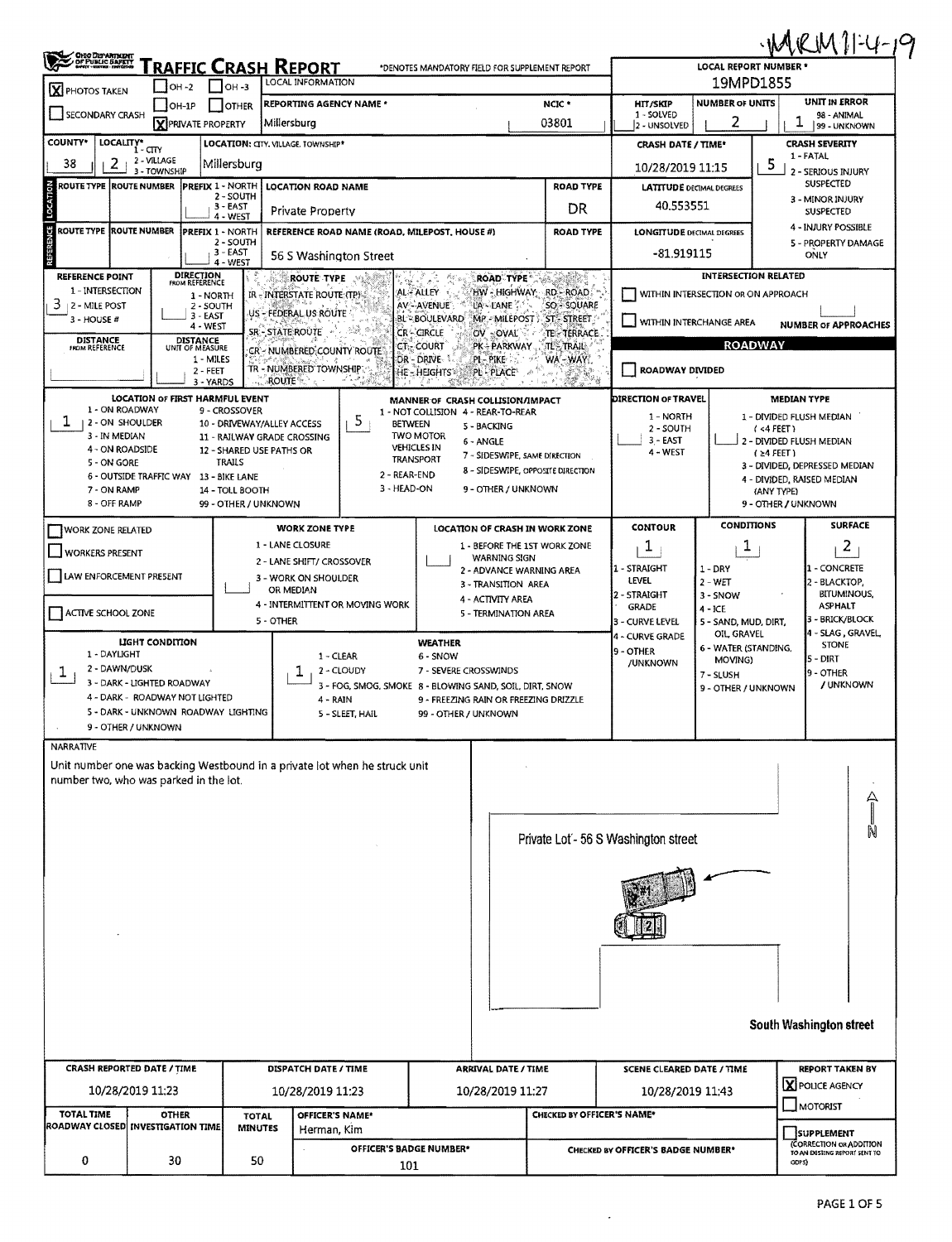| <b>CHIO DEPARTMENT</b><br>OF PUBLIC SAFETT                                                                                 |                                    |                                             | <b>FRAFFIC CRASH REPORT</b>                               |                                                         |                                                      |                           | *DENOTES MANDATORY FIELD FOR SUPPLEMENT REPORT                     |                                        |                            |                                           | <b>LOCAL REPORT NUMBER '</b> | WRM1-4-19                                          |                    |  |
|----------------------------------------------------------------------------------------------------------------------------|------------------------------------|---------------------------------------------|-----------------------------------------------------------|---------------------------------------------------------|------------------------------------------------------|---------------------------|--------------------------------------------------------------------|----------------------------------------|----------------------------|-------------------------------------------|------------------------------|----------------------------------------------------|--------------------|--|
| X PHOTOS TAKEN                                                                                                             | $ OH - 2 $                         | $OH-3$                                      | LOCAL INFORMATION                                         |                                                         |                                                      |                           |                                                                    |                                        |                            | 19MPD1855                                 |                              |                                                    |                    |  |
| <b>REPORTING AGENCY NAME *</b><br>$I$ OH-1P<br><b>OTHER</b><br>SECONDARY CRASH<br><b>X</b> PRIVATE PROPERTY<br>Millersburg |                                    |                                             |                                                           |                                                         |                                                      |                           | NCIC *<br>03801                                                    | HIT/SKIP<br>1 - SOLVED<br>2 - UNSOLVED |                            | <b>NUMBER OF UNITS</b><br>2               |                              | UNIT IN ERROR<br>98 - ANIMAL<br>1<br>99 - UNKNOWN  |                    |  |
| <b>COUNTY*</b><br>LOCALITY* CITY                                                                                           |                                    |                                             | LOCATION: CITY. VILLAGE. TOWNSHIP*                        |                                                         |                                                      |                           |                                                                    | <b>CRASH DATE / TIME*</b>              |                            |                                           |                              | <b>CRASH SEVERITY</b>                              |                    |  |
| 38<br>2                                                                                                                    | 2 - VILLAGE<br>3 - TOWNSHIP        | Millersburg                                 |                                                           |                                                         |                                                      |                           |                                                                    | 10/28/2019 11:15                       |                            |                                           | 5                            | 1 FATAL<br>2 - SERIOUS INJURY                      |                    |  |
| ROUTE TYPE  ROUTE NUMBER                                                                                                   |                                    | <b>PREFIX 1 - NORTH</b>                     | <b>LOCATION ROAD NAME</b>                                 |                                                         |                                                      | <b>ROAD TYPE</b>          | <b>LATITUDE DECIMAL DEGREES</b>                                    |                                        |                            |                                           | <b>SUSPECTED</b>             |                                                    |                    |  |
| LOCATION<br>2 - SOUTH<br>3 - EAST<br>Private Property<br>4 - WEST                                                          |                                    |                                             |                                                           |                                                         |                                                      |                           | DR                                                                 | 40.553551                              |                            | 3 - MINOR INJURY<br>SUSPECTED             |                              |                                                    |                    |  |
| ROUTE TYPE ROUTE NUMBER                                                                                                    |                                    | PREFIX 1 - NORTH                            | REFERENCE ROAD NAME (ROAD, MILEPOST, HOUSE #)             |                                                         |                                                      |                           | <b>ROAD TYPE</b>                                                   | <b>LONGITUDE DECIMAL DEGREES</b>       | <b>4 - INJURY POSSIBLE</b> |                                           |                              |                                                    |                    |  |
| 2 - SOUTH<br>$3 - EAST$<br>56 S Washington Street<br>$4 - WEST$                                                            |                                    |                                             |                                                           |                                                         |                                                      |                           |                                                                    | -81.919115                             |                            |                                           | 5 - PROPERTY DAMAGE<br>ONLY  |                                                    |                    |  |
| <b>REFERENCE POINT</b>                                                                                                     | <b>DIRECTION</b><br>FROM REFERENCE |                                             | <b>ROUTE TYPE</b>                                         |                                                         |                                                      | <b>ROAD TYPE</b>          |                                                                    |                                        |                            |                                           | <b>INTERSECTION RELATED</b>  |                                                    |                    |  |
| 1 - INTERSECTION<br>3<br>2 - MILE POST                                                                                     |                                    | 1 - NORTH<br>2 - SOUTH                      | IR - INTERSTATE ROUTE (TP)                                |                                                         | AL-ALLEY<br>AV - AVENUE                              | HW - HIGHWAY<br>LA - LANE | RD - ROAD<br>SO SOUARE                                             | WITHIN INTERSECTION OR ON APPROACH     |                            |                                           |                              |                                                    |                    |  |
| $3 - HOUSE#$                                                                                                               | 3 - EAST<br>$4 - WEST$             |                                             | US - FEDERAL US ROUTE                                     |                                                         | <b>BL<sup>*</sup> BOULEVARD</b>                      |                           | MP - MILEPOST ST-STREET                                            | WITHIN INTERCHANGE AREA                |                            |                                           |                              | <b>NUMBER OF APPROACHES</b>                        |                    |  |
| <b>DISTANCE</b><br><b>FROM REFERENCE</b>                                                                                   | <b>DISTANCE</b><br>UNIT OF MEASURE |                                             | SR - STATE ROUTE<br>CR - NUMBERED, COUNTY ROUTE           |                                                         | <b>CR-CIRCLE</b><br><b>CT-COURT</b>                  | OV - OVAL<br>PK - PARKWAY | TE-TERRACE<br>TE-TRAIL:                                            |                                        |                            | <b>ROADWAY</b>                            |                              |                                                    |                    |  |
|                                                                                                                            |                                    | 1 - MILES<br>$2 - FEET$                     | TR - NUMBERED TOWNSHIPT                                   |                                                         | DR - DRIVE-<br>HE-HEIGHTS                            | PL-PIKE<br>PL - PLACE     | WA-WAY.<br>AN.<br>$\epsilon^{\rm (i)}$<br>بالجرار                  | ROADWAY DIVIDED                        |                            |                                           |                              |                                                    |                    |  |
|                                                                                                                            | LOCATION OF FIRST HARMFUL EVENT    | 3 - YARDS                                   | <b>ROUTE</b>                                              | ಾಳ್                                                     | 8 д.<br>俗家<br>MANNER OF CRASH COLLISION/IMPACT       |                           |                                                                    | <b>DIRECTION OF TRAVEL</b>             |                            |                                           |                              | <b>MEDIAN TYPE</b>                                 |                    |  |
| 1 - ON ROADWAY<br>ı.<br>  2 - ON SHOULDER                                                                                  |                                    | 9 - CROSSOVER<br>10 - DRIVEWAY/ALLEY ACCESS |                                                           | 5                                                       | 1 - NOT COLLISION 4 - REAR-TO-REAR<br><b>BETWEEN</b> |                           |                                                                    | 1 - NORTH                              |                            |                                           |                              | 1 - DIVIDED FLUSH MEDIAN                           |                    |  |
| 3 - IN MEDIAN                                                                                                              |                                    |                                             | 11 - RAILWAY GRADE CROSSING                               |                                                         | <b>TWO MOTOR</b><br><b>VEHICLES IN</b>               | 5 - BACKING<br>6 - ANGLE  |                                                                    | 2 - SOUTH<br>3 - EAST                  |                            |                                           | (4 FEE)                      | 2 - DIVIDED FLUSH MEDIAN                           |                    |  |
| 4 - ON ROADSIDE<br>5 - ON GORE                                                                                             |                                    | 12 - SHARED USE PATHS OR<br><b>TRAILS</b>   |                                                           |                                                         | <b>TRANSPORT</b>                                     |                           | 7 - SIDESWIPE, SAME DIRECTION<br>8 - SIDESWIPE, OPPOSITE DIRECTION | 4 - WEST                               |                            |                                           | $(24$ FEET)                  | 3 - DIVIDED, DEPRESSED MEDIAN                      |                    |  |
| 6 - OUTSIDE TRAFFIC WAY 13 - BIKE LANE<br>7 - ON RAMP                                                                      |                                    | 14 - TOLL BOOTH                             |                                                           |                                                         | 2 - REAR-END<br>3 - HEAD-ON                          | 9 - OTHER / UNKNOWN       |                                                                    |                                        |                            |                                           | (ANY TYPE)                   | 4 - DIVIDED, RAISED MEDIAN                         |                    |  |
| 8 - OFF RAMP                                                                                                               |                                    | 99 - OTHER / UNKNOWN                        |                                                           |                                                         |                                                      |                           |                                                                    |                                        |                            |                                           |                              | 9 - OTHER / UNKNOWN                                |                    |  |
| <b>WORK ZONE RELATED</b>                                                                                                   |                                    |                                             | <b>WORK ZONE TYPE</b>                                     |                                                         |                                                      |                           | LOCATION OF CRASH IN WORK ZONE                                     | <b>CONTOUR</b>                         |                            | <b>CONDITIONS</b>                         |                              |                                                    | <b>SURFACE</b>     |  |
| <b>WORKERS PRESENT</b>                                                                                                     |                                    |                                             | 1 - LANE CLOSURE<br>2 - LANE SHIFT/ CROSSOVER             |                                                         |                                                      | <b>WARNING SIGN</b>       | 1 - BEFORE THE 1ST WORK ZONE                                       | 1                                      |                            | T,                                        |                              |                                                    | 2                  |  |
| LAW ENFORCEMENT PRESENT                                                                                                    |                                    |                                             | 3 - WORK ON SHOULDER                                      |                                                         |                                                      | 3 - TRANSITION AREA       | 2 - ADVANCE WARNING AREA                                           | 1 - STRAIGHT<br>LEVEL                  | $1 - DRY$<br>$2 - WET$     |                                           |                              | <b>11 -</b> CONCRETE<br>2 - BLACKTOP,              |                    |  |
|                                                                                                                            |                                    |                                             | OR MEDIAN<br>4 - INTERMITTENT OR MOVING WORK              |                                                         |                                                      | 4 - ACTIVITY AREA         |                                                                    | 2 - STRAIGHT<br><b>GRADE</b>           | 3 - SNOW                   |                                           |                              | <b>ASPHALT</b>                                     | <b>BITUMINOUS,</b> |  |
| ACTIVE SCHOOL ZONE                                                                                                         |                                    |                                             | 5 - OTHER                                                 |                                                         |                                                      | 5 - TERMINATION AREA      |                                                                    | 3 - CURVE LEVEL                        | $4 - ICE$                  | 5 - SAND, MUD, DIRT,                      |                              | 3 - BRICK/BLOCK                                    |                    |  |
|                                                                                                                            | LIGHT CONDITION                    |                                             |                                                           |                                                         | <b>WEATHER</b>                                       |                           |                                                                    | 4 - CURVE GRADE<br>9 - OTHER           |                            | OIL GRAVEL<br>6 - WATER (STANDING,        |                              | 4 - SLAG , GRAVEL,<br><b>STONE</b>                 |                    |  |
| 1 - DAYLIGHT<br>2 - DAWN/DUSK<br>ı.                                                                                        |                                    |                                             |                                                           | 1 - CLEAR<br>2 - CLOUDY                                 | 6 - SNOW<br>7 - SEVERE CROSSWINDS                    |                           |                                                                    | /UNKNOWN                               | 7 - SLUSH                  | MOVING)                                   |                              | 5 - DIRT<br>9 - OTHER                              |                    |  |
| 3 - DARK - LIGHTED ROADWAY<br>4 - DARK - ROADWAY NOT LIGHTED                                                               |                                    |                                             |                                                           | 3 - FOG, SMOG, SMOKE 8 - BLOWING SAND, SOIL, DIRT, SNOW |                                                      |                           |                                                                    |                                        |                            | 9 - OTHER / UNKNOWN                       |                              |                                                    | / UNKNOWN          |  |
| 5 - DARK - UNKNOWN ROADWAY LIGHTING                                                                                        |                                    |                                             | 4 - RAIN                                                  | 5 - SLEET, HAIL                                         | 99 - OTHER / UNKNOWN                                 |                           | 9 - FREEZING RAIN OR FREEZING DRIZZLE                              |                                        |                            |                                           |                              |                                                    |                    |  |
| 9 - OTHER / UNKNOWN<br><b>NARRATIVE</b>                                                                                    |                                    |                                             |                                                           |                                                         |                                                      |                           |                                                                    |                                        |                            |                                           |                              |                                                    |                    |  |
| Unit number one was backing Westbound in a private lot when he struck unit                                                 |                                    |                                             |                                                           |                                                         |                                                      |                           |                                                                    |                                        |                            |                                           |                              |                                                    |                    |  |
| number two, who was parked in the lot.                                                                                     |                                    |                                             |                                                           |                                                         |                                                      |                           |                                                                    |                                        |                            |                                           |                              |                                                    |                    |  |
|                                                                                                                            |                                    |                                             |                                                           |                                                         |                                                      |                           |                                                                    |                                        |                            |                                           |                              |                                                    | 슈                  |  |
|                                                                                                                            |                                    |                                             |                                                           |                                                         |                                                      |                           | Private Lot - 56 S Washington street                               |                                        |                            |                                           |                              |                                                    | N                  |  |
|                                                                                                                            |                                    |                                             |                                                           |                                                         |                                                      |                           |                                                                    |                                        |                            |                                           |                              |                                                    |                    |  |
|                                                                                                                            |                                    |                                             |                                                           |                                                         |                                                      |                           |                                                                    |                                        |                            |                                           |                              |                                                    |                    |  |
|                                                                                                                            |                                    |                                             |                                                           |                                                         |                                                      |                           |                                                                    |                                        |                            |                                           |                              |                                                    |                    |  |
|                                                                                                                            |                                    |                                             |                                                           |                                                         |                                                      |                           |                                                                    |                                        |                            |                                           |                              |                                                    |                    |  |
|                                                                                                                            |                                    |                                             |                                                           |                                                         |                                                      |                           |                                                                    |                                        |                            |                                           |                              |                                                    |                    |  |
|                                                                                                                            |                                    |                                             |                                                           |                                                         |                                                      |                           |                                                                    |                                        |                            |                                           |                              |                                                    |                    |  |
|                                                                                                                            |                                    |                                             |                                                           |                                                         |                                                      |                           |                                                                    |                                        |                            |                                           |                              |                                                    |                    |  |
|                                                                                                                            |                                    |                                             |                                                           |                                                         |                                                      |                           |                                                                    |                                        |                            |                                           |                              | South Washington street                            |                    |  |
|                                                                                                                            |                                    |                                             |                                                           |                                                         |                                                      |                           |                                                                    |                                        |                            |                                           |                              |                                                    |                    |  |
|                                                                                                                            |                                    |                                             | CRASH REPORTED DATE / TIME<br><b>DISPATCH DATE / TIME</b> |                                                         |                                                      |                           | <b>ARRIVAL DATE / TIME</b>                                         | SCENE CLEARED DATE / TIME              |                            | <b>REPORT TAKEN BY</b><br>X POLICE AGENCY |                              |                                                    |                    |  |
|                                                                                                                            |                                    |                                             |                                                           |                                                         |                                                      |                           |                                                                    |                                        |                            |                                           |                              |                                                    |                    |  |
| 10/28/2019 11:23<br><b>TOTAL TIME</b>                                                                                      | <b>OTHER</b>                       | <b>TOTAL</b>                                | 10/28/2019 11:23<br>OFFICER'S NAME*                       |                                                         |                                                      | 10/28/2019 11:27          | CHECKED BY OFFICER'S NAME*                                         | 10/28/2019 11:43                       |                            |                                           |                              | MOTORIST                                           |                    |  |
| <b>ROADWAY CLOSED INVESTIGATION TIME</b>                                                                                   |                                    | <b>MINUTES</b>                              | Herman, Kim                                               |                                                         | <b>OFFICER'S BADGE NUMBER*</b>                       |                           |                                                                    |                                        |                            |                                           |                              | <b>SUPPLEMENT</b><br><b>CORRECTION OR ADDITION</b> |                    |  |

 $\mathcal{A}$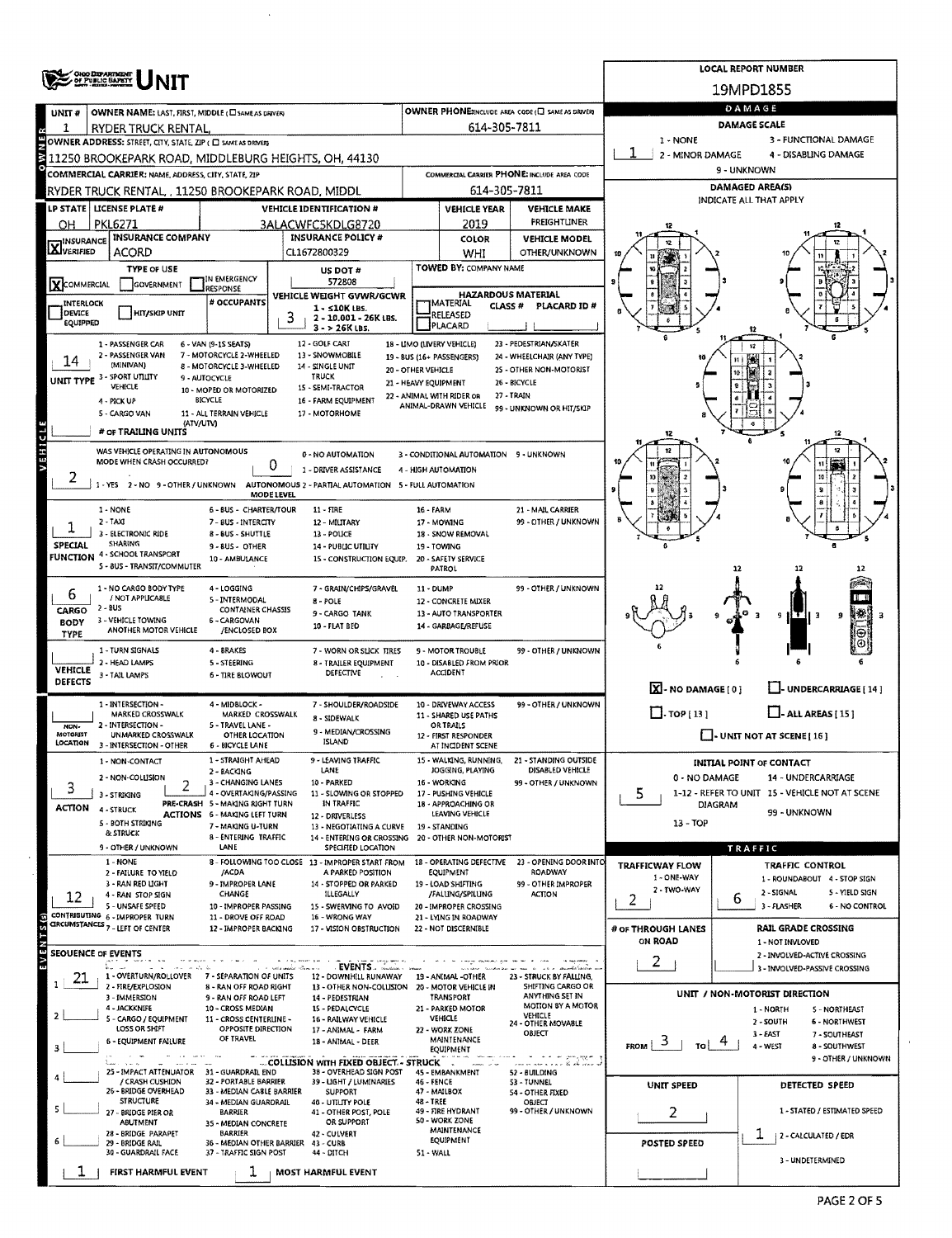|                            | ONG DEPARTMENT<br>OF PUBLIC BAPETY                                                                                  |                                                                        |                   |                                                                                            |                      |                                                               |                                                            |                                       | <b>LOCAL REPORT NUMBER</b>                             |  |  |  |  |
|----------------------------|---------------------------------------------------------------------------------------------------------------------|------------------------------------------------------------------------|-------------------|--------------------------------------------------------------------------------------------|----------------------|---------------------------------------------------------------|------------------------------------------------------------|---------------------------------------|--------------------------------------------------------|--|--|--|--|
|                            |                                                                                                                     |                                                                        |                   |                                                                                            |                      |                                                               |                                                            |                                       | 19MPD1855                                              |  |  |  |  |
| UNIT#                      | OWNER NAME: LAST, FIRST, MIDDLE (CI SAME AS DRIVER)                                                                 |                                                                        |                   |                                                                                            |                      |                                                               | OWNER PHONE:INCLUDE AREA CODE (C) SAME AS DRIVER!          |                                       | DAMAGE                                                 |  |  |  |  |
| 1                          | RYDER TRUCK RENTAL,                                                                                                 |                                                                        |                   |                                                                                            |                      | 614-305-7811                                                  |                                                            | 1 - NONE                              | DAMAGE SCALE                                           |  |  |  |  |
|                            | OWNER ADDRESS: STREET, CITY, STATE, ZIP ( O SAME AS DRIVER)<br>11250 BROOKEPARK ROAD, MIDDLEBURG HEIGHTS, OH, 44130 |                                                                        |                   |                                                                                            |                      |                                                               |                                                            | 2 - MINOR DAMAGE                      | 3 - FUNCTIONAL DAMAGE<br>4 - DISABLING DAMAGE          |  |  |  |  |
|                            | COMMERCIAL CARRIER: NAME, ADDRESS, CITY, STATE, ZIP                                                                 |                                                                        |                   |                                                                                            |                      |                                                               | COMMERCIAL CARRIER PHONE: INCLUDE AREA CODE                |                                       | 9 - UNKNOWN                                            |  |  |  |  |
|                            | RYDER TRUCK RENTAL, , 11250 BROOKEPARK ROAD, MIDDL                                                                  |                                                                        |                   |                                                                                            |                      | 614-305-7811                                                  |                                                            |                                       | DAMAGED AREA(S)                                        |  |  |  |  |
|                            | LP STATE   LICENSE PLATE #                                                                                          |                                                                        |                   | <b>VEHICLE IDENTIFICATION #</b>                                                            |                      | <b>VEHICLE YEAR</b>                                           | <b>VEHICLE MAKE</b>                                        |                                       | INDICATE ALL THAT APPLY                                |  |  |  |  |
| OН                         | <b>PKL6271</b><br><b>INSURANCE COMPANY</b>                                                                          |                                                                        |                   | 3ALACWFC5KDLG8720<br><b>INSURANCE POLICY #</b>                                             |                      | 2019                                                          | FREIGHTLINER<br><b>VEHICLE MODEL</b>                       |                                       |                                                        |  |  |  |  |
| <b>X</b> INSURANCE         | ACORD                                                                                                               |                                                                        |                   | CL1672800329                                                                               |                      | COLOR<br>WHI                                                  | OTHER/UNKNOWN                                              |                                       |                                                        |  |  |  |  |
|                            | <b>TYPE OF USE</b>                                                                                                  |                                                                        |                   | US DOT #                                                                                   |                      | TOWED BY: COMPANY NAME                                        |                                                            |                                       |                                                        |  |  |  |  |
| KCOMMERCIAL                | GOVERNMENT                                                                                                          | IN EMERGENCY<br>RESPONSE                                               |                   | 572808<br>VEHICLE WEIGHT GVWR/GCWR                                                         |                      | <b>HAZARDOUS MATERIAL</b>                                     |                                                            |                                       |                                                        |  |  |  |  |
| <b>INTERLOCK</b><br>DEVICE | <b>HIT/SKIP UNIT</b>                                                                                                | # OCCUPANTS                                                            |                   | $1 - 510K$ LBS.                                                                            |                      | MATERIAL<br>CLASS #<br>RELEASED                               | PLACARD ID #                                               |                                       |                                                        |  |  |  |  |
| EQUIPPED                   |                                                                                                                     |                                                                        | 3                 | 2 - 10.001 - 26K LBS.<br>$3 - 26K$ LBS.                                                    |                      | PLACARD                                                       |                                                            |                                       |                                                        |  |  |  |  |
|                            | 1 - PASSENGER CAR<br>2 - PASSENGER VAN                                                                              | 6 - VAN (9-15 SEATS)<br>7 - MOTORCYCLE 2-WHEELED                       |                   | 12 - GOLF CART<br>13 - SNOWMOBILE                                                          |                      | 18 - LIMO (LIVERY VEHICLE)                                    | 23 - PEDESTRIAN/SKATER                                     |                                       |                                                        |  |  |  |  |
| 14                         | (MINIVAN)                                                                                                           | 8 - MOTORCYCLE 3-WHEELED                                               |                   | 14 - SINGLE UNIT                                                                           | 20 - OTHER VEHICLE   | 19 - BUS (16+ PASSENGERS)                                     | 24 - WHEELCHAIR (ANY TYPE)<br>25 - OTHER NON-MOTORIST      |                                       |                                                        |  |  |  |  |
|                            | UNIT TYPE 3 - SPORT UTILITY<br>VEHICLE                                                                              | 9 AUTOCYCLE<br>10 - MOPED OR MOTORIZED                                 |                   | <b>TRUCK</b><br>15 - SEMI-TRACTOR                                                          | 21 - HEAVY EQUIPMENT |                                                               | 26 - BICYCLE                                               |                                       |                                                        |  |  |  |  |
|                            | 4 - PICK UP<br>5 - CARGO VAN                                                                                        | BICYCLE<br>11 - ALL TERRAIN VEHICLE                                    |                   | 16 - FARM EQUIPMENT<br>17 - MOTORHOME                                                      |                      | 22 - ANIMAL WITH RIDER OR<br>ANIMAL-DRAWN VEHICLE             | 27 - TRAIN<br>99 - UNKNOWN OR HIT/SKIP                     |                                       |                                                        |  |  |  |  |
|                            | (ATV/UTV)<br># OF TRAILING UNITS                                                                                    |                                                                        |                   |                                                                                            |                      |                                                               |                                                            |                                       |                                                        |  |  |  |  |
| J<br>E                     | WAS VEHICLE OPERATING IN AUTONOMOUS                                                                                 |                                                                        |                   |                                                                                            |                      |                                                               |                                                            |                                       | 12                                                     |  |  |  |  |
|                            | MODE WHEN CRASH OCCURRED?                                                                                           |                                                                        | 0                 | 0 - NO AUTOMATION<br>1 - DRIVER ASSISTANCE                                                 |                      | 3 - CONDITIONAL AUTOMATION 9 - UNKNOWN<br>4 - HIGH AUTOMATION |                                                            |                                       |                                                        |  |  |  |  |
| 2                          | 1 - YES 2 - NO 9 - OTHER / UNKNOWN AUTONOMOUS 2 - PARTIAL AUTOMATION 5 - FULL AUTOMATION                            |                                                                        |                   |                                                                                            |                      |                                                               |                                                            |                                       | 30                                                     |  |  |  |  |
|                            | 1 - NONE                                                                                                            | 6 - BUS - CHARTER/TOUR                                                 | <b>MODE LEVEL</b> | $11 - RRE$                                                                                 | 16 - FARM            |                                                               |                                                            |                                       |                                                        |  |  |  |  |
|                            | $2 - TAXI$                                                                                                          | 7 - BUS - INTERCITY                                                    |                   | 12 - MILITARY                                                                              |                      | 17 - MOWING                                                   | 21 - MAIL CARRIER<br>99 - OTHER / UNKNOWN                  |                                       |                                                        |  |  |  |  |
| SPECIAL                    | 3 - ELECTRONIC RIDE<br>SHARING                                                                                      | 8 - BUS - SHUTTLE<br>9-BUS-OTHER                                       |                   | 13 - POLICE<br>14 - PUBLIC UTILITY                                                         |                      | 18 - SNOW REMOVAL<br>19 - TOWING                              |                                                            |                                       |                                                        |  |  |  |  |
|                            | <b>FUNCTION 4 - SCHOOL TRANSPORT</b><br>S - BUS - TRANSIT/COMMUTER                                                  | 10 - AMBULANCE                                                         |                   | 15 - CONSTRUCTION EQUIP. 20 - SAFETY SERVICE                                               |                      |                                                               |                                                            |                                       |                                                        |  |  |  |  |
|                            |                                                                                                                     |                                                                        |                   |                                                                                            |                      | <b>PATROL</b>                                                 |                                                            |                                       | 12<br>12                                               |  |  |  |  |
| 6                          | 1 - NO CARGO BODY TYPE<br>/ NOT APPLICABLE                                                                          | 4 - LOGGING<br>5 - INTERMODAL                                          |                   | 7 - GRAIN/CHIPS/GRAVEL<br>$8 - POLE$                                                       | 11 - DUMP            | 12 - CONCRETE MIXER                                           | 99 - OTHER / UNKNOWN                                       |                                       |                                                        |  |  |  |  |
| CARGO<br><b>BODY</b>       | $2 - BUS$<br>3 - VEHICLE TOWING                                                                                     | <b>CONTAINER CHASSIS</b><br>6 - CARGOVAN                               |                   | 9 - CARGO TANK                                                                             |                      | 13 - AUTO TRANSPORTER                                         |                                                            |                                       | ŦН<br>٩<br>-9                                          |  |  |  |  |
| TYPE                       | ANOTHER MOTOR VEHICLE                                                                                               | /ENCLOSED BOX                                                          |                   | 10 - FLAT BED                                                                              |                      | 14 - GARBAGE/REFUSE                                           |                                                            |                                       |                                                        |  |  |  |  |
|                            | 1 - TURN SIGNALS<br>2 - HEAD LAMPS                                                                                  | 4 - BRAKES<br><b>S-STEERING</b>                                        |                   | 7 - WORN OR SLICK TIRES<br>8 - TRAILER EQUIPMENT                                           |                      | 9 - MOTOR TROUBLE<br>10 - DISABLED FROM PRIOR                 | 99 - OTHER / UNKNOWN                                       |                                       |                                                        |  |  |  |  |
| <b>VEHICLE</b><br>DEFECTS  | 3 - TAIL LAMPS                                                                                                      | <b>6 - TIRE BLOWOUT</b>                                                |                   | DEFECTIVE                                                                                  |                      | <b>ACCIDENT</b>                                               |                                                            |                                       |                                                        |  |  |  |  |
|                            | 1 - INTERSECTION -                                                                                                  | 4 - MIDBLOCK -                                                         |                   | 7 - SHOULDER/ROADSIDE                                                                      |                      | 10 - DRIVEWAY ACCESS                                          | 99 - OTHER / UNKNOWN                                       | $X - NO$ DAMAGE [ 0 ]                 | - UNDERCARRIAGE [14]                                   |  |  |  |  |
|                            | MARKED CROSSWALK                                                                                                    | MARKED CROSSWALK                                                       |                   | 8 - SIDEWALK                                                                               |                      | 11 - SHARED USE PATHS                                         |                                                            | $\Box$ -TOP [13]                      | $\Box$ - ALL AREAS [ 15 ]                              |  |  |  |  |
| NON-<br>MOTORIST           | 2 - INTERSECTION -<br><b>UNMARKED CROSSWALK</b>                                                                     | 5 - TRAVEL LANE -<br>OTHER LOCATION                                    |                   | 9 - MEDIAN/CROSSING<br><b>ISLAND</b>                                                       |                      | <b>OR TRAILS</b><br>12 - FIRST RESPONDER                      |                                                            |                                       | - UNIT NOT AT SCENE [ 16 ]                             |  |  |  |  |
| LOCATION                   | 3 - INTERSECTION - OTHER<br>1 - NON-CONTACT                                                                         | <b>6 - BICYCLE LANE</b><br>1 - STRAIGHT AHEAD                          |                   | 9 - LEAVING TRAFFIC                                                                        |                      | AT INCIDENT SCENE<br>15 - WALKING, RUNNING,                   | 21 - STANDING OUTSIDE                                      |                                       |                                                        |  |  |  |  |
|                            | 2 - NON-COLLISION                                                                                                   | 2 - BACKING                                                            |                   | LANE                                                                                       |                      | JOGGING, PLAYING                                              | DISABLED VEHICLE                                           | 0 - NO DAMAGE                         | <b>INITIAL POINT OF CONTACT</b><br>14 - UNDERCARRIAGE  |  |  |  |  |
| 3                          | 2<br>3 - STRIKING                                                                                                   | 3 - CHANGING LANES<br>4 - OVERTAKING/PASSING                           |                   | 10 - PARKED<br>11 - SLOWING OR STOPPED                                                     |                      | 16 - WORKING<br>17 - PUSHING VEHICLE                          | 99 - OTHER / UNKNOWN                                       | 5                                     | 1-12 - REFER TO UNIT 15 - VEHICLE NOT AT SCENE         |  |  |  |  |
| ACTION                     | 4 - STRUCK                                                                                                          | PRE-CRASH 5 - MAKING RIGHT TURN<br><b>ACTIONS 6 - MAKING LEFT TURN</b> |                   | IN TRAFFIC<br>12 - DRIVERLESS                                                              |                      | 18 - APPROACHING OR<br>LEAVING VEHICLE                        |                                                            |                                       | <b>DIAGRAM</b><br>99 - UNKNOWN                         |  |  |  |  |
|                            | 5 - BOTH STRIKING<br>& STRUCK                                                                                       | 7 - MAKING U-TURN<br>8 - ENTERING TRAFFIC                              |                   | 13 - NEGOTIATING A CURVE<br>14 - ENTERING OR CROSSING 20 - OTHER NON-MOTORIST              |                      | 19 - STANDING                                                 |                                                            | $13 - TOP$                            |                                                        |  |  |  |  |
|                            | 9 - OTHER / UNKNOWN                                                                                                 | LANE                                                                   |                   | SPECIFIED LOCATION                                                                         |                      |                                                               |                                                            |                                       | TRAFFIC                                                |  |  |  |  |
|                            | 1 - NONE<br>2 - FAILURE TO YIELD                                                                                    | /ACDA                                                                  |                   | 8 - FOLLOWING TOO CLOSE 13 - IMPROPER START FROM<br>A PARKED POSITION                      |                      | EQUIPMENT                                                     | 18 - OPERATING DEFECTIVE 23 - OPENING DOOR INTO<br>ROADWAY | <b>TRAFFICWAY FLOW</b><br>1 - ONE-WAY | TRAFFIC CONTROL<br>1 - ROUNDABOUT 4 - STOP SIGN        |  |  |  |  |
| 12                         | 3 - RAN RED LIGHT<br>4 - RAN STOP SIGN                                                                              | 9 - IMPROPER LANE<br><b>CHANGE</b>                                     |                   | 14 - STOPPED OR PARKED<br>ILLEGALLY                                                        |                      | 19 - LOAD SHIFTING<br>/FALUNG/SPILUNG                         | 99 - OTHER IMPROPER<br><b>ACTION</b>                       | 2 - TWO-WAY                           | 2 - SIGNAL<br>5 - YIELD SIGN                           |  |  |  |  |
|                            | 5 - UNSAFE SPEED<br>CONTRIBUTING 6 - IMPROPER TURN                                                                  | 10 - IMPROPER PASSING<br>11 - DROVE OFF ROAD                           |                   | 15 - SWERVING TO AVOID<br>16 - WRONG WAY                                                   |                      | 20 - IMPROPER CROSSING<br>21 - LYING IN ROADWAY               |                                                            | 2                                     | 6<br>3 - FLASHER<br>6 - NO CONTROL                     |  |  |  |  |
| ENTS(S)                    | CIRCUMSTANCES <sub>7</sub> - LEFT OF CENTER                                                                         | 12 - IMPROPER BACKING                                                  |                   | 17 - VISION OBSTRUCTION                                                                    |                      | 22 - NOT DISCERNIBLE                                          |                                                            | # OF THROUGH LANES                    | <b>RAIL GRADE CROSSING</b>                             |  |  |  |  |
|                            | SEOUENCE OF EVENTS                                                                                                  |                                                                        |                   |                                                                                            |                      |                                                               |                                                            | ON ROAD                               | 1 - NOT INVLOVED<br>2 - INVOLVED-ACTIVE CROSSING       |  |  |  |  |
| $\sum_{\omega}$            | E.<br>1 - OVERTURN/ROLLOVER 7 - SEPARATION OF UNITS                                                                 |                                                                        |                   | EVENTS.                                                                                    |                      |                                                               |                                                            | 2                                     | 3 - INVOLVED-PASSIVE CROSSING                          |  |  |  |  |
| 21                         | 2 - FIRE/EXPLOSION                                                                                                  | 8 - RAN OFF ROAD RIGHT                                                 |                   | 12 - DOWNHILL RUNAWAY 19 - ANIMAL -OTHER<br>13 - OTHER NON-COLLISION 20 - MOTOR VEHICLE IN |                      |                                                               | 23 - STRUCK BY FALLING,<br>SHIFTING CARGO OR               |                                       | UNIT / NON-MOTORIST DIRECTION                          |  |  |  |  |
|                            | 3 - IMMERSION<br>4 - JACKKNIFE                                                                                      | 9 - RAN OFF ROAD LEFT<br>10 - CROSS MEDIAN                             |                   | 14 - PEDESTRIAN<br>15 - PEDALCYCLE                                                         |                      | TRANSPORT<br>21 - PARKED MOTOR                                | ANYTHING SET IN<br><b>MOTION BY A MOTOR</b>                |                                       | 1 - NORTH<br>5 - NORTHEAST                             |  |  |  |  |
| 2                          | 5 - CARGO / EQUIPMENT<br>LOSS OR SHIFT                                                                              | 11 - CROSS CENTERLINE -<br>OPPOSITE DIRECTION                          |                   | 16 - RAILWAY VEHICLE<br>17 - ANIMAL - FARM                                                 |                      | VEHICLE<br>22 - WORK ZONE                                     | VEHICLE<br>24 - OTHER MOVABLE<br>OBJECT                    |                                       | 2 - SOUTH<br>6 - NORTHWEST                             |  |  |  |  |
|                            | 6 - EQUIPMENT FAILURE                                                                                               | OF TRAVEL                                                              |                   | 18 - ANIMAL - DEER                                                                         |                      | MAINTENANCE<br><b>EQUIPMENT</b>                               |                                                            | 3<br>FROM<br>TO                       | 3 - EAST<br>7 - SOUTHEAST<br>4 - WEST<br>8 - SOUTHWEST |  |  |  |  |
|                            | 25 - IMPACT ATTENUATOR                                                                                              | 31 - GUARDRAIL END                                                     |                   | COLLISION WITH FIXED OBJECT. - STRUCK<br>38 - OVERHEAD SIGN POST                           |                      | 45 - EMBANKMENT                                               | will be program.<br>i a a a a dh'air maca na               |                                       | 9 - OTHER / UNKNOWN                                    |  |  |  |  |
|                            | / CRASH CUSHION<br>26 - BRIDGE OVERHEAD                                                                             | 32 - PORTABLE BARRIER                                                  |                   | 39 - LIGHT / LUMINARIES                                                                    | 46 - FENCE           |                                                               | 52 - BUILDING<br>53 - TUNNEL                               | UNIT SPEED                            | DETECTED SPEED                                         |  |  |  |  |
|                            | <b>STRUCTURE</b>                                                                                                    | 33 - MEDIAN CABLE BARRIER<br>34 - MEDIAN GUARDRAIL                     |                   | <b>SUPPORT</b><br>40 - UTILITY POLE                                                        | 48 - TREE            | 47 - MAILBOX                                                  | 54 - OTHER FIXED<br>OBJECT                                 |                                       |                                                        |  |  |  |  |
|                            | 27 - BRIDGE PIER OR<br>ABUTMENT                                                                                     | <b>BARRIER</b><br>35 - MEDIAN CONCRETE                                 |                   | 41 - OTHER POST, POLE<br>OR SUPPORT                                                        |                      | 49 - FIRE HYDRANT<br>50 - WORK ZONE                           | 99 - OTHER / UNKNOWN                                       | 2                                     | 1 - STATED / ESTIMATED SPEED                           |  |  |  |  |
|                            | 28 - BRIDGE PARAPET<br>29 - BRIDGE RAIL                                                                             | <b>BARRIER</b><br>36 - MEDIAN OTHER BARRIER 43 - CURB                  |                   | 42 - CULVERT                                                                               |                      | MAINTENANCE<br>EQUIPMENT                                      |                                                            | POSTED SPEED                          | T<br>  2 - CALCULATED / EDR                            |  |  |  |  |
|                            | 30 - GUARDRAIL FACE                                                                                                 | 37 - TRAFFIC SIGN POST                                                 |                   | 44 - DITCH                                                                                 | 51 - WALL            |                                                               |                                                            |                                       | 3 - UNDETERMINED                                       |  |  |  |  |
|                            | FIRST HARMFUL EVENT                                                                                                 | 1                                                                      |                   | MOST HARMFUL EVENT                                                                         |                      |                                                               |                                                            |                                       |                                                        |  |  |  |  |

 $\bar{\mathbf{r}}$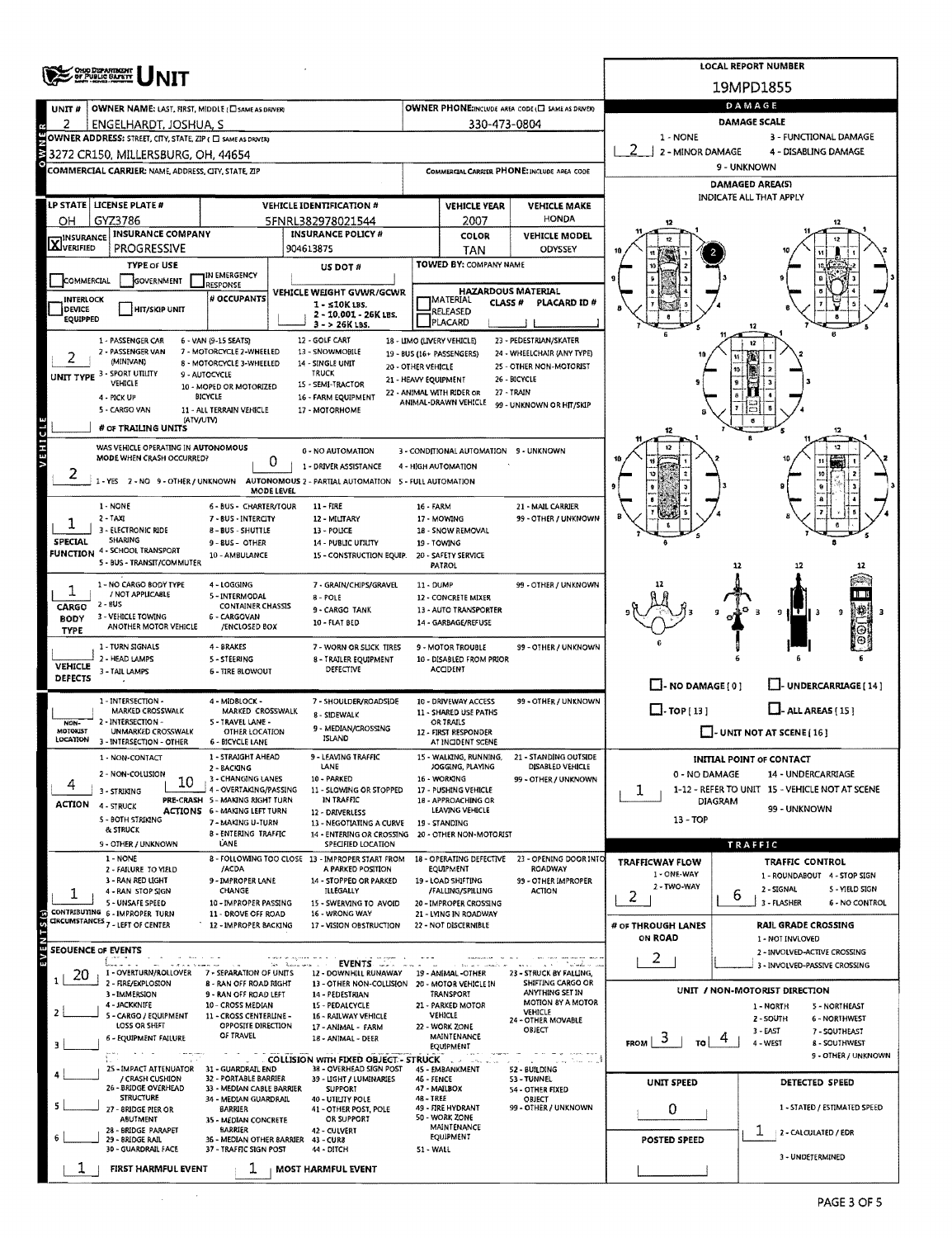|                               | <b>ONO DIPARTMENT</b><br>OF PUBLIC SAFETY                                                          |                                                                                                                                                                                                                                                                                                                                                                                                                                                                                                                                                                                                                                                                                                                                                                                                                                                                                                                                                                                                                                                                                                                                                                                                                                                                                                                                                                                                                                                                                                                                                                                                                                                                                                                                                                                                                                                                                                                                                                                                                                                                                                                                                                                                                                                                                                                                                                                                                                                                                                                                                                                                                                                                                                                                                                        |                                                                         |            |                                               |                                                   |                                          | <b>LOCAL REPORT NUMBER</b>                                      |  |  |  |  |  |
|-------------------------------|----------------------------------------------------------------------------------------------------|------------------------------------------------------------------------------------------------------------------------------------------------------------------------------------------------------------------------------------------------------------------------------------------------------------------------------------------------------------------------------------------------------------------------------------------------------------------------------------------------------------------------------------------------------------------------------------------------------------------------------------------------------------------------------------------------------------------------------------------------------------------------------------------------------------------------------------------------------------------------------------------------------------------------------------------------------------------------------------------------------------------------------------------------------------------------------------------------------------------------------------------------------------------------------------------------------------------------------------------------------------------------------------------------------------------------------------------------------------------------------------------------------------------------------------------------------------------------------------------------------------------------------------------------------------------------------------------------------------------------------------------------------------------------------------------------------------------------------------------------------------------------------------------------------------------------------------------------------------------------------------------------------------------------------------------------------------------------------------------------------------------------------------------------------------------------------------------------------------------------------------------------------------------------------------------------------------------------------------------------------------------------------------------------------------------------------------------------------------------------------------------------------------------------------------------------------------------------------------------------------------------------------------------------------------------------------------------------------------------------------------------------------------------------------------------------------------------------------------------------------------------------|-------------------------------------------------------------------------|------------|-----------------------------------------------|---------------------------------------------------|------------------------------------------|-----------------------------------------------------------------|--|--|--|--|--|
|                               |                                                                                                    |                                                                                                                                                                                                                                                                                                                                                                                                                                                                                                                                                                                                                                                                                                                                                                                                                                                                                                                                                                                                                                                                                                                                                                                                                                                                                                                                                                                                                                                                                                                                                                                                                                                                                                                                                                                                                                                                                                                                                                                                                                                                                                                                                                                                                                                                                                                                                                                                                                                                                                                                                                                                                                                                                                                                                                        |                                                                         |            |                                               |                                                   |                                          | 19MPD1855                                                       |  |  |  |  |  |
| UNIT#                         | OWNER NAME: LAST, FIRST, MIDDLE (C) SAME AS DRIVER                                                 |                                                                                                                                                                                                                                                                                                                                                                                                                                                                                                                                                                                                                                                                                                                                                                                                                                                                                                                                                                                                                                                                                                                                                                                                                                                                                                                                                                                                                                                                                                                                                                                                                                                                                                                                                                                                                                                                                                                                                                                                                                                                                                                                                                                                                                                                                                                                                                                                                                                                                                                                                                                                                                                                                                                                                                        |                                                                         |            |                                               | OWNER PHONE:INCLUDE AREA CODE (E) SAME AS DRIVER) |                                          | DAMAGE                                                          |  |  |  |  |  |
| 2                             | ENGELHARDT, JOSHUA, S                                                                              |                                                                                                                                                                                                                                                                                                                                                                                                                                                                                                                                                                                                                                                                                                                                                                                                                                                                                                                                                                                                                                                                                                                                                                                                                                                                                                                                                                                                                                                                                                                                                                                                                                                                                                                                                                                                                                                                                                                                                                                                                                                                                                                                                                                                                                                                                                                                                                                                                                                                                                                                                                                                                                                                                                                                                                        |                                                                         |            | 330-473-0804                                  |                                                   | 1 - NONE                                 | <b>DAMAGE SCALE</b><br>3 - FUNCTIONAL DAMAGE                    |  |  |  |  |  |
|                               | OWNER ADDRESS: STREET, CITY, STATE, ZIP ( C) SAME AS DRIVERI<br>3272 CR150, MILLERSBURG, OH, 44654 |                                                                                                                                                                                                                                                                                                                                                                                                                                                                                                                                                                                                                                                                                                                                                                                                                                                                                                                                                                                                                                                                                                                                                                                                                                                                                                                                                                                                                                                                                                                                                                                                                                                                                                                                                                                                                                                                                                                                                                                                                                                                                                                                                                                                                                                                                                                                                                                                                                                                                                                                                                                                                                                                                                                                                                        |                                                                         |            |                                               |                                                   | 2 - MINOR DAMAGE<br>4 - DISABLING DAMAGE |                                                                 |  |  |  |  |  |
|                               | COMMERCIAL CARRIER: NAME, ADDRESS, CITY, STATE, ZIP                                                |                                                                                                                                                                                                                                                                                                                                                                                                                                                                                                                                                                                                                                                                                                                                                                                                                                                                                                                                                                                                                                                                                                                                                                                                                                                                                                                                                                                                                                                                                                                                                                                                                                                                                                                                                                                                                                                                                                                                                                                                                                                                                                                                                                                                                                                                                                                                                                                                                                                                                                                                                                                                                                                                                                                                                                        |                                                                         |            |                                               | COMMERCIAL CARRIER PHONE: INCLUDE AREA CODE       |                                          | 9 - UNKNOWN                                                     |  |  |  |  |  |
|                               |                                                                                                    |                                                                                                                                                                                                                                                                                                                                                                                                                                                                                                                                                                                                                                                                                                                                                                                                                                                                                                                                                                                                                                                                                                                                                                                                                                                                                                                                                                                                                                                                                                                                                                                                                                                                                                                                                                                                                                                                                                                                                                                                                                                                                                                                                                                                                                                                                                                                                                                                                                                                                                                                                                                                                                                                                                                                                                        |                                                                         |            |                                               |                                                   |                                          | <b>DAMAGED AREA(S)</b>                                          |  |  |  |  |  |
|                               | LP STATE   LICENSE PLATE #                                                                         |                                                                                                                                                                                                                                                                                                                                                                                                                                                                                                                                                                                                                                                                                                                                                                                                                                                                                                                                                                                                                                                                                                                                                                                                                                                                                                                                                                                                                                                                                                                                                                                                                                                                                                                                                                                                                                                                                                                                                                                                                                                                                                                                                                                                                                                                                                                                                                                                                                                                                                                                                                                                                                                                                                                                                                        | <b>VEHICLE IDENTIFICATION #</b>                                         |            | <b>VEHICLE YEAR</b>                           | <b>VEHICLE MAKE</b>                               |                                          | INDICATE ALL THAT APPLY                                         |  |  |  |  |  |
| ΟH                            | GYZ3786                                                                                            |                                                                                                                                                                                                                                                                                                                                                                                                                                                                                                                                                                                                                                                                                                                                                                                                                                                                                                                                                                                                                                                                                                                                                                                                                                                                                                                                                                                                                                                                                                                                                                                                                                                                                                                                                                                                                                                                                                                                                                                                                                                                                                                                                                                                                                                                                                                                                                                                                                                                                                                                                                                                                                                                                                                                                                        | 5FNRL382978021544                                                       |            | 2007                                          | <b>HONDA</b>                                      |                                          |                                                                 |  |  |  |  |  |
| <b>X</b> <sup>INSURANCE</sup> | <b>INSURANCE COMPANY</b><br><b>PROGRESSIVE</b>                                                     |                                                                                                                                                                                                                                                                                                                                                                                                                                                                                                                                                                                                                                                                                                                                                                                                                                                                                                                                                                                                                                                                                                                                                                                                                                                                                                                                                                                                                                                                                                                                                                                                                                                                                                                                                                                                                                                                                                                                                                                                                                                                                                                                                                                                                                                                                                                                                                                                                                                                                                                                                                                                                                                                                                                                                                        | <b>INSURANCE POLICY #</b>                                               |            | COLOR                                         | <b>VEHICLE MODEL</b>                              |                                          |                                                                 |  |  |  |  |  |
|                               | <b>TYPE or USE</b>                                                                                 |                                                                                                                                                                                                                                                                                                                                                                                                                                                                                                                                                                                                                                                                                                                                                                                                                                                                                                                                                                                                                                                                                                                                                                                                                                                                                                                                                                                                                                                                                                                                                                                                                                                                                                                                                                                                                                                                                                                                                                                                                                                                                                                                                                                                                                                                                                                                                                                                                                                                                                                                                                                                                                                                                                                                                                        |                                                                         |            |                                               |                                                   |                                          |                                                                 |  |  |  |  |  |
| <b>COMMERCIAL</b>             | GOVERNMENT                                                                                         | IN EMERGENCY                                                                                                                                                                                                                                                                                                                                                                                                                                                                                                                                                                                                                                                                                                                                                                                                                                                                                                                                                                                                                                                                                                                                                                                                                                                                                                                                                                                                                                                                                                                                                                                                                                                                                                                                                                                                                                                                                                                                                                                                                                                                                                                                                                                                                                                                                                                                                                                                                                                                                                                                                                                                                                                                                                                                                           |                                                                         |            |                                               |                                                   |                                          |                                                                 |  |  |  |  |  |
| INTERLOCK                     |                                                                                                    | # OCCUPANTS                                                                                                                                                                                                                                                                                                                                                                                                                                                                                                                                                                                                                                                                                                                                                                                                                                                                                                                                                                                                                                                                                                                                                                                                                                                                                                                                                                                                                                                                                                                                                                                                                                                                                                                                                                                                                                                                                                                                                                                                                                                                                                                                                                                                                                                                                                                                                                                                                                                                                                                                                                                                                                                                                                                                                            |                                                                         |            |                                               |                                                   |                                          |                                                                 |  |  |  |  |  |
| DEVICE<br><b>EQUIPPED</b>     | <b>HIT/SKIP UNIT</b>                                                                               |                                                                                                                                                                                                                                                                                                                                                                                                                                                                                                                                                                                                                                                                                                                                                                                                                                                                                                                                                                                                                                                                                                                                                                                                                                                                                                                                                                                                                                                                                                                                                                                                                                                                                                                                                                                                                                                                                                                                                                                                                                                                                                                                                                                                                                                                                                                                                                                                                                                                                                                                                                                                                                                                                                                                                                        | 2 - 10.001 - 26K LBS.                                                   |            |                                               |                                                   |                                          |                                                                 |  |  |  |  |  |
|                               | 1 - PASSENGER CAR                                                                                  |                                                                                                                                                                                                                                                                                                                                                                                                                                                                                                                                                                                                                                                                                                                                                                                                                                                                                                                                                                                                                                                                                                                                                                                                                                                                                                                                                                                                                                                                                                                                                                                                                                                                                                                                                                                                                                                                                                                                                                                                                                                                                                                                                                                                                                                                                                                                                                                                                                                                                                                                                                                                                                                                                                                                                                        | 12 - GOLF CART                                                          |            |                                               |                                                   |                                          |                                                                 |  |  |  |  |  |
|                               | 2 - PASSENGER VAN<br>(MINIVAN)                                                                     |                                                                                                                                                                                                                                                                                                                                                                                                                                                                                                                                                                                                                                                                                                                                                                                                                                                                                                                                                                                                                                                                                                                                                                                                                                                                                                                                                                                                                                                                                                                                                                                                                                                                                                                                                                                                                                                                                                                                                                                                                                                                                                                                                                                                                                                                                                                                                                                                                                                                                                                                                                                                                                                                                                                                                                        | 13 - SNOWMOBILE                                                         |            |                                               |                                                   |                                          |                                                                 |  |  |  |  |  |
|                               | UNIT TYPE 3 - SPORT UTILITY<br><b>VEHICLE</b>                                                      | 904613875<br>ODYSSEY<br><b>TAN</b><br>TOWED BY: COMPANY NAME<br>US DOT#<br><b>RESPONSE</b><br><b>HAZARDOUS MATERIAL</b><br>VEHICLE WEIGHT GVWR/GCWR<br>MATERIAL<br><b>CLASS #</b><br>PLACARD ID#<br>$1 - 510K$ LBS.<br>RELEASED<br>PLACARD<br>$3 - 26K$ LBS.<br>23 - PEDESTRIAN/SKATER<br>6 - VAN (9-15 SEATS)<br>18 - LIMO (LIVERY VEHICLE)<br>7 - MOTORCYCLE 2-WHEELED<br>24 - WHEELCHAIR (ANY TYPE)<br>19 - BUS (16+ PASSENGERS)<br><b>8 - MOTORCYCLE 3-WHEELED</b><br>14 - SINGLE UNIT<br>25 - OTHER NON-MOTORIST<br>20 - OTHER VEHICLE<br><b>TRUCK</b><br>9 - AUTOCYCLE<br>26 - BICYCLE<br>21 - HEAVY EQUIPMENT<br>15 - SEMI-TRACTOR<br>10 - MOPED OR MOTORIZED<br>22 - ANIMAL WITH RIDER OR<br>27 - TRAIN<br>BICYCLE<br>16 - FARM EQUIPMENT<br>ANIMAL-DRAWN VEHICLE<br>99 - UNKNOWN OR HIT/SKIP<br>11 - ALL TERRAIN VEHICLE<br>17 - MOTORHOME<br>(ATV/UTV)<br>12<br>0 - NO AUTOMATION<br>3 - CONDITIONAL AUTOMATION 9 - UNKNOWN<br>0<br>1 - DRIVER ASSISTANCE<br>4 - HIGH AUTOMATION<br>1 - YES 2 - NO 9 - OTHER / UNKNOWN AUTONOMOUS 2 - PARTIAL AUTOMATION 5 - FULL AUTOMATION<br>MODE LEVEL<br>6 - BUS - CHARTER/TOUR<br>$11 - FIRE$<br>21 - MAIL CARRIER<br>16 - FARM<br>99 - OTHER / UNKNOWN<br>7-BUS-INTERCITY<br>12 - MILITARY<br>17 - MOWING<br>18 - SNOW REMOVAL<br>8-BUS - SHUTTLE<br>13 - POLICE<br>9 - BUS - OTHER<br>14 - PUBLIC UTILITY<br>19 - TOWING<br>10 - AMBULANCE<br>15 - CONSTRUCTION EQUIP.<br>20 - SAFETY SERVICE<br><b>PATROL</b><br>12<br>4 - LOGGING<br>7 - GRAIN/CHIPS/GRAVEL<br>11 - DUMP<br>99 - OTHER / UNKNOWN<br>5 - INTERMODAL<br>$8 - POLE$<br>12 - CONCRETE MIXER<br><b>CONTAINER CHASSIS</b><br>9 - CARGO TANK<br>13 - AUTO TRANSPORTER<br>T<br>9<br>9<br>6 - CARGOVAN<br>10 - FLAT BED<br>14 - GARBAGE/REFUSE<br>/ENCLOSED BOX<br>4 - BRAKES<br>7 - WORN OR SLICK TIRES<br>9 - MOTOR TROUBLE<br>99 - OTHER / UNKNOWN<br>5-STEERING<br>10 - DISABLED FROM PRIOR<br>8 - TRAILER EOUIPMENT<br>DEFECTIVE<br><b>ACCIDENT</b><br><b>6 - TIRE BLOWOUT</b><br>$\Box$ - NO DAMAGE(0)<br>- UNDERCARRIAGE [14]<br>4 - MIDBLOCK -<br>99 - OTHER / UNKNOWN<br>7 - SHOULDER/ROADSIDE<br>10 - DRIVEWAY ACCESS<br>$\Box$ -TOP[13]<br>$\Box$ - ALL AREAS (15)<br>MARKED CROSSWALK<br>11 - SHARED USE PATHS<br>8 - SIDEWALK<br>5 - TRAVEL LANE -<br>OR TRAILS<br>9 - MEDIAN/CROSSING<br>OTHER LOCATION<br>- UNIT NOT AT SCENE $[16]$<br>12 - FIRST RESPONDER<br>ISLAND<br><b>6 - BICYCLE LANE</b><br>AT INCIDENT SCENE<br>1 - STRAIGHT AHEAD<br>9 - LEAVING TRAFFIC<br>15 - WALKING, RUNNING,<br>21 - STANDING OUTSIDE<br><b>INITIAL POINT OF CONTACT</b><br>LANE<br>JOGGING, PLAYING<br>DISABLED VEHICLE<br>2 - BACKING<br>0 - NO DAMAGE<br>14 - UNDERCARRIAGE<br>3 - CHANGING LANES<br>10 - PARKED<br>16 - WORKING<br>99 - OTHER / UNKNOWN |                                                                         |            |                                               |                                                   |                                          |                                                                 |  |  |  |  |  |
|                               | 4 - PICK UP                                                                                        |                                                                                                                                                                                                                                                                                                                                                                                                                                                                                                                                                                                                                                                                                                                                                                                                                                                                                                                                                                                                                                                                                                                                                                                                                                                                                                                                                                                                                                                                                                                                                                                                                                                                                                                                                                                                                                                                                                                                                                                                                                                                                                                                                                                                                                                                                                                                                                                                                                                                                                                                                                                                                                                                                                                                                                        |                                                                         |            |                                               |                                                   |                                          |                                                                 |  |  |  |  |  |
|                               | 5 - CARGO VAN                                                                                      |                                                                                                                                                                                                                                                                                                                                                                                                                                                                                                                                                                                                                                                                                                                                                                                                                                                                                                                                                                                                                                                                                                                                                                                                                                                                                                                                                                                                                                                                                                                                                                                                                                                                                                                                                                                                                                                                                                                                                                                                                                                                                                                                                                                                                                                                                                                                                                                                                                                                                                                                                                                                                                                                                                                                                                        |                                                                         |            |                                               |                                                   |                                          |                                                                 |  |  |  |  |  |
|                               | # OF TRAILING UNITS                                                                                |                                                                                                                                                                                                                                                                                                                                                                                                                                                                                                                                                                                                                                                                                                                                                                                                                                                                                                                                                                                                                                                                                                                                                                                                                                                                                                                                                                                                                                                                                                                                                                                                                                                                                                                                                                                                                                                                                                                                                                                                                                                                                                                                                                                                                                                                                                                                                                                                                                                                                                                                                                                                                                                                                                                                                                        |                                                                         |            |                                               |                                                   |                                          |                                                                 |  |  |  |  |  |
| VEHICLE                       | WAS VEHICLE OPERATING IN AUTONOMOUS<br>MODE WHEN CRASH OCCURRED?                                   |                                                                                                                                                                                                                                                                                                                                                                                                                                                                                                                                                                                                                                                                                                                                                                                                                                                                                                                                                                                                                                                                                                                                                                                                                                                                                                                                                                                                                                                                                                                                                                                                                                                                                                                                                                                                                                                                                                                                                                                                                                                                                                                                                                                                                                                                                                                                                                                                                                                                                                                                                                                                                                                                                                                                                                        |                                                                         |            |                                               |                                                   |                                          |                                                                 |  |  |  |  |  |
| 2                             |                                                                                                    |                                                                                                                                                                                                                                                                                                                                                                                                                                                                                                                                                                                                                                                                                                                                                                                                                                                                                                                                                                                                                                                                                                                                                                                                                                                                                                                                                                                                                                                                                                                                                                                                                                                                                                                                                                                                                                                                                                                                                                                                                                                                                                                                                                                                                                                                                                                                                                                                                                                                                                                                                                                                                                                                                                                                                                        |                                                                         |            |                                               |                                                   |                                          |                                                                 |  |  |  |  |  |
|                               |                                                                                                    |                                                                                                                                                                                                                                                                                                                                                                                                                                                                                                                                                                                                                                                                                                                                                                                                                                                                                                                                                                                                                                                                                                                                                                                                                                                                                                                                                                                                                                                                                                                                                                                                                                                                                                                                                                                                                                                                                                                                                                                                                                                                                                                                                                                                                                                                                                                                                                                                                                                                                                                                                                                                                                                                                                                                                                        |                                                                         |            |                                               |                                                   |                                          |                                                                 |  |  |  |  |  |
|                               | 1 - NONE                                                                                           |                                                                                                                                                                                                                                                                                                                                                                                                                                                                                                                                                                                                                                                                                                                                                                                                                                                                                                                                                                                                                                                                                                                                                                                                                                                                                                                                                                                                                                                                                                                                                                                                                                                                                                                                                                                                                                                                                                                                                                                                                                                                                                                                                                                                                                                                                                                                                                                                                                                                                                                                                                                                                                                                                                                                                                        |                                                                         |            |                                               |                                                   |                                          |                                                                 |  |  |  |  |  |
|                               | $2 - TAXI$<br>3 - ELECTRONIC RIDE                                                                  |                                                                                                                                                                                                                                                                                                                                                                                                                                                                                                                                                                                                                                                                                                                                                                                                                                                                                                                                                                                                                                                                                                                                                                                                                                                                                                                                                                                                                                                                                                                                                                                                                                                                                                                                                                                                                                                                                                                                                                                                                                                                                                                                                                                                                                                                                                                                                                                                                                                                                                                                                                                                                                                                                                                                                                        |                                                                         |            |                                               |                                                   |                                          |                                                                 |  |  |  |  |  |
| SPECIAL                       | <b>SHARING</b><br><b>FUNCTION 4 - SCHOOL TRANSPORT</b>                                             |                                                                                                                                                                                                                                                                                                                                                                                                                                                                                                                                                                                                                                                                                                                                                                                                                                                                                                                                                                                                                                                                                                                                                                                                                                                                                                                                                                                                                                                                                                                                                                                                                                                                                                                                                                                                                                                                                                                                                                                                                                                                                                                                                                                                                                                                                                                                                                                                                                                                                                                                                                                                                                                                                                                                                                        |                                                                         |            |                                               |                                                   |                                          |                                                                 |  |  |  |  |  |
|                               | 5 - BUS - TRANSIT/COMMUTER                                                                         |                                                                                                                                                                                                                                                                                                                                                                                                                                                                                                                                                                                                                                                                                                                                                                                                                                                                                                                                                                                                                                                                                                                                                                                                                                                                                                                                                                                                                                                                                                                                                                                                                                                                                                                                                                                                                                                                                                                                                                                                                                                                                                                                                                                                                                                                                                                                                                                                                                                                                                                                                                                                                                                                                                                                                                        |                                                                         |            |                                               |                                                   |                                          |                                                                 |  |  |  |  |  |
|                               | 1 - NO CARGO BODY TYPE                                                                             |                                                                                                                                                                                                                                                                                                                                                                                                                                                                                                                                                                                                                                                                                                                                                                                                                                                                                                                                                                                                                                                                                                                                                                                                                                                                                                                                                                                                                                                                                                                                                                                                                                                                                                                                                                                                                                                                                                                                                                                                                                                                                                                                                                                                                                                                                                                                                                                                                                                                                                                                                                                                                                                                                                                                                                        |                                                                         |            |                                               |                                                   |                                          |                                                                 |  |  |  |  |  |
| ı<br><b>CARGO</b>             | / NOT APPLICABLE<br>$2 - 8US$                                                                      |                                                                                                                                                                                                                                                                                                                                                                                                                                                                                                                                                                                                                                                                                                                                                                                                                                                                                                                                                                                                                                                                                                                                                                                                                                                                                                                                                                                                                                                                                                                                                                                                                                                                                                                                                                                                                                                                                                                                                                                                                                                                                                                                                                                                                                                                                                                                                                                                                                                                                                                                                                                                                                                                                                                                                                        |                                                                         |            |                                               |                                                   |                                          |                                                                 |  |  |  |  |  |
| <b>BODY</b>                   | 3 - VEHICLE TOWING<br>ANOTHER MOTOR VEHICLE                                                        |                                                                                                                                                                                                                                                                                                                                                                                                                                                                                                                                                                                                                                                                                                                                                                                                                                                                                                                                                                                                                                                                                                                                                                                                                                                                                                                                                                                                                                                                                                                                                                                                                                                                                                                                                                                                                                                                                                                                                                                                                                                                                                                                                                                                                                                                                                                                                                                                                                                                                                                                                                                                                                                                                                                                                                        |                                                                         |            |                                               |                                                   |                                          |                                                                 |  |  |  |  |  |
| <b>TYPE</b>                   | 1 - TURN SIGNALS                                                                                   |                                                                                                                                                                                                                                                                                                                                                                                                                                                                                                                                                                                                                                                                                                                                                                                                                                                                                                                                                                                                                                                                                                                                                                                                                                                                                                                                                                                                                                                                                                                                                                                                                                                                                                                                                                                                                                                                                                                                                                                                                                                                                                                                                                                                                                                                                                                                                                                                                                                                                                                                                                                                                                                                                                                                                                        |                                                                         |            |                                               |                                                   |                                          |                                                                 |  |  |  |  |  |
|                               | 2 - HEAD LAMPS                                                                                     |                                                                                                                                                                                                                                                                                                                                                                                                                                                                                                                                                                                                                                                                                                                                                                                                                                                                                                                                                                                                                                                                                                                                                                                                                                                                                                                                                                                                                                                                                                                                                                                                                                                                                                                                                                                                                                                                                                                                                                                                                                                                                                                                                                                                                                                                                                                                                                                                                                                                                                                                                                                                                                                                                                                                                                        |                                                                         |            |                                               |                                                   |                                          |                                                                 |  |  |  |  |  |
| VEHICLE<br>DEFECTS            | 3 - TAIL LAMPS                                                                                     |                                                                                                                                                                                                                                                                                                                                                                                                                                                                                                                                                                                                                                                                                                                                                                                                                                                                                                                                                                                                                                                                                                                                                                                                                                                                                                                                                                                                                                                                                                                                                                                                                                                                                                                                                                                                                                                                                                                                                                                                                                                                                                                                                                                                                                                                                                                                                                                                                                                                                                                                                                                                                                                                                                                                                                        |                                                                         |            |                                               |                                                   |                                          |                                                                 |  |  |  |  |  |
|                               | 1 - INTERSECTION -                                                                                 |                                                                                                                                                                                                                                                                                                                                                                                                                                                                                                                                                                                                                                                                                                                                                                                                                                                                                                                                                                                                                                                                                                                                                                                                                                                                                                                                                                                                                                                                                                                                                                                                                                                                                                                                                                                                                                                                                                                                                                                                                                                                                                                                                                                                                                                                                                                                                                                                                                                                                                                                                                                                                                                                                                                                                                        |                                                                         |            |                                               |                                                   |                                          |                                                                 |  |  |  |  |  |
| NON-                          | MARKED CROSSWALK<br>2 - INTERSECTION -                                                             |                                                                                                                                                                                                                                                                                                                                                                                                                                                                                                                                                                                                                                                                                                                                                                                                                                                                                                                                                                                                                                                                                                                                                                                                                                                                                                                                                                                                                                                                                                                                                                                                                                                                                                                                                                                                                                                                                                                                                                                                                                                                                                                                                                                                                                                                                                                                                                                                                                                                                                                                                                                                                                                                                                                                                                        |                                                                         |            |                                               |                                                   |                                          |                                                                 |  |  |  |  |  |
| MOTORIST<br>LOCATION          | UNMARKED CROSSWALK                                                                                 |                                                                                                                                                                                                                                                                                                                                                                                                                                                                                                                                                                                                                                                                                                                                                                                                                                                                                                                                                                                                                                                                                                                                                                                                                                                                                                                                                                                                                                                                                                                                                                                                                                                                                                                                                                                                                                                                                                                                                                                                                                                                                                                                                                                                                                                                                                                                                                                                                                                                                                                                                                                                                                                                                                                                                                        |                                                                         |            |                                               |                                                   |                                          |                                                                 |  |  |  |  |  |
|                               | 3 - INTERSECTION - OTHER<br>1 - NON-CONTACT                                                        |                                                                                                                                                                                                                                                                                                                                                                                                                                                                                                                                                                                                                                                                                                                                                                                                                                                                                                                                                                                                                                                                                                                                                                                                                                                                                                                                                                                                                                                                                                                                                                                                                                                                                                                                                                                                                                                                                                                                                                                                                                                                                                                                                                                                                                                                                                                                                                                                                                                                                                                                                                                                                                                                                                                                                                        |                                                                         |            |                                               |                                                   |                                          |                                                                 |  |  |  |  |  |
|                               | 2 - NON-COLUSION                                                                                   |                                                                                                                                                                                                                                                                                                                                                                                                                                                                                                                                                                                                                                                                                                                                                                                                                                                                                                                                                                                                                                                                                                                                                                                                                                                                                                                                                                                                                                                                                                                                                                                                                                                                                                                                                                                                                                                                                                                                                                                                                                                                                                                                                                                                                                                                                                                                                                                                                                                                                                                                                                                                                                                                                                                                                                        |                                                                         |            |                                               |                                                   |                                          |                                                                 |  |  |  |  |  |
|                               | 10<br>3 - STRIKING                                                                                 | 4 - OVERTAKING/PASSING                                                                                                                                                                                                                                                                                                                                                                                                                                                                                                                                                                                                                                                                                                                                                                                                                                                                                                                                                                                                                                                                                                                                                                                                                                                                                                                                                                                                                                                                                                                                                                                                                                                                                                                                                                                                                                                                                                                                                                                                                                                                                                                                                                                                                                                                                                                                                                                                                                                                                                                                                                                                                                                                                                                                                 | 11 - SLOWING OR STOPPED                                                 |            | 17 - PUSHING VEHICLE                          |                                                   | ı                                        | 1-12 - REFER TO UNIT 15 - VEHICLE NOT AT SCENE                  |  |  |  |  |  |
| ACTION                        | 4 - STRUCK                                                                                         | PRE-CRASH 5 - MAKING RIGHT TURN<br>ACTIONS 6 - MAKING LEFT TURN                                                                                                                                                                                                                                                                                                                                                                                                                                                                                                                                                                                                                                                                                                                                                                                                                                                                                                                                                                                                                                                                                                                                                                                                                                                                                                                                                                                                                                                                                                                                                                                                                                                                                                                                                                                                                                                                                                                                                                                                                                                                                                                                                                                                                                                                                                                                                                                                                                                                                                                                                                                                                                                                                                        | IN TRAFFIC<br>12 - DRIVERLESS                                           |            | 18 - APPROACHING OR<br>LEAVING VEHICLE        |                                                   |                                          | <b>DIAGRAM</b><br>99 - UNKNOWN                                  |  |  |  |  |  |
|                               | 5 - BOTH STRIKING<br>& STRUCK                                                                      | 7 - MAKING U-TURN<br><b>B - ENTERING TRAFFIC</b>                                                                                                                                                                                                                                                                                                                                                                                                                                                                                                                                                                                                                                                                                                                                                                                                                                                                                                                                                                                                                                                                                                                                                                                                                                                                                                                                                                                                                                                                                                                                                                                                                                                                                                                                                                                                                                                                                                                                                                                                                                                                                                                                                                                                                                                                                                                                                                                                                                                                                                                                                                                                                                                                                                                       | 13 - NEGOTIATING A CURVE<br>14 - ENTERING OR CROSSING                   |            | 19 - STANDING<br>20 - OTHER NON-MOTORIST      |                                                   | 13 - TOP                                 |                                                                 |  |  |  |  |  |
|                               | 9 - OTHER / UNKNOWN                                                                                | LANE                                                                                                                                                                                                                                                                                                                                                                                                                                                                                                                                                                                                                                                                                                                                                                                                                                                                                                                                                                                                                                                                                                                                                                                                                                                                                                                                                                                                                                                                                                                                                                                                                                                                                                                                                                                                                                                                                                                                                                                                                                                                                                                                                                                                                                                                                                                                                                                                                                                                                                                                                                                                                                                                                                                                                                   | SPECIFIED LOCATION                                                      |            |                                               |                                                   |                                          | TRAFFIC                                                         |  |  |  |  |  |
|                               | $1 - NONE$<br>2 - FAILURE TO YIELD                                                                 | /ACDA                                                                                                                                                                                                                                                                                                                                                                                                                                                                                                                                                                                                                                                                                                                                                                                                                                                                                                                                                                                                                                                                                                                                                                                                                                                                                                                                                                                                                                                                                                                                                                                                                                                                                                                                                                                                                                                                                                                                                                                                                                                                                                                                                                                                                                                                                                                                                                                                                                                                                                                                                                                                                                                                                                                                                                  | 8 - FOLLOWING TOO CLOSE 13 - IMPROPER START FROM<br>A PARKED POSITION   |            | 18 - OPERATING DEFECTIVE<br><b>EQUIPMENT</b>  | 23 - OPENING DOOR INTO<br>ROADWAY                 | <b>TRAFFICWAY FLOW</b>                   | <b>TRAFFIC CONTROL</b>                                          |  |  |  |  |  |
|                               | 3 - RAN RED LIGHT<br>4 - RAN STOP SIGN                                                             | 9 - IMPROPER LANE<br>CHANGE                                                                                                                                                                                                                                                                                                                                                                                                                                                                                                                                                                                                                                                                                                                                                                                                                                                                                                                                                                                                                                                                                                                                                                                                                                                                                                                                                                                                                                                                                                                                                                                                                                                                                                                                                                                                                                                                                                                                                                                                                                                                                                                                                                                                                                                                                                                                                                                                                                                                                                                                                                                                                                                                                                                                            | 14 - STOPPED OR PARKED<br><b>ILLEGALLY</b>                              |            | 19 - LOAD SHIFTING<br>/FALLING/SPILLING       | 99 - OTHER IMPROPER<br><b>ACTION</b>              | 1 - ONE-WAY<br>2 - TWO-WAY               | 1 - ROUNDABOUT 4 - STOP SIGN<br>2 - SIGNAL<br>5 - YIELD SIGN    |  |  |  |  |  |
|                               | 5 - UNSAFE SPEED                                                                                   | 10 - IMPROPER PASSING                                                                                                                                                                                                                                                                                                                                                                                                                                                                                                                                                                                                                                                                                                                                                                                                                                                                                                                                                                                                                                                                                                                                                                                                                                                                                                                                                                                                                                                                                                                                                                                                                                                                                                                                                                                                                                                                                                                                                                                                                                                                                                                                                                                                                                                                                                                                                                                                                                                                                                                                                                                                                                                                                                                                                  | 15 - SWERVING TO AVOID                                                  |            | 20 - IMPROPER CROSSING                        |                                                   | 2                                        | 6<br>3 - FLASHER<br>6 - NO CONTROL                              |  |  |  |  |  |
|                               | CONTRIBUTING 6 - IMPROPER TURN<br>CIRCUMSTANCES 7 - LEFT OF CENTER                                 | 11 - DROVE OFF ROAD<br>12 - IMPROPER BACKING                                                                                                                                                                                                                                                                                                                                                                                                                                                                                                                                                                                                                                                                                                                                                                                                                                                                                                                                                                                                                                                                                                                                                                                                                                                                                                                                                                                                                                                                                                                                                                                                                                                                                                                                                                                                                                                                                                                                                                                                                                                                                                                                                                                                                                                                                                                                                                                                                                                                                                                                                                                                                                                                                                                           | 16 - WRONG WAY<br>17 - VISION OBSTRUCTION                               |            | 21 - LYING IN ROADWAY<br>22 - NOT DISCERNIBLE |                                                   | # OF THROUGH LANES                       | <b>RAIL GRADE CROSSING</b>                                      |  |  |  |  |  |
|                               |                                                                                                    |                                                                                                                                                                                                                                                                                                                                                                                                                                                                                                                                                                                                                                                                                                                                                                                                                                                                                                                                                                                                                                                                                                                                                                                                                                                                                                                                                                                                                                                                                                                                                                                                                                                                                                                                                                                                                                                                                                                                                                                                                                                                                                                                                                                                                                                                                                                                                                                                                                                                                                                                                                                                                                                                                                                                                                        |                                                                         |            |                                               |                                                   | ON ROAD                                  | 1 - NOT INVLOVED                                                |  |  |  |  |  |
|                               | <b>SEQUENCE OF EVENTS</b>                                                                          |                                                                                                                                                                                                                                                                                                                                                                                                                                                                                                                                                                                                                                                                                                                                                                                                                                                                                                                                                                                                                                                                                                                                                                                                                                                                                                                                                                                                                                                                                                                                                                                                                                                                                                                                                                                                                                                                                                                                                                                                                                                                                                                                                                                                                                                                                                                                                                                                                                                                                                                                                                                                                                                                                                                                                                        | <b>EVENTS</b><br>Ser Racca                                              |            |                                               | Contractor of                                     | 2                                        | 2 - INVOLVED-ACTIVE CROSSING<br>3 - INVOLVED-PASSIVE CROSSING   |  |  |  |  |  |
| 20                            | 1 - OVERTURN/ROLLOVER<br>2 - FIRE/EXPLOSION                                                        | 7 - SEPARATION OF UNITS<br>8 - RAN OFF ROAD RIGHT                                                                                                                                                                                                                                                                                                                                                                                                                                                                                                                                                                                                                                                                                                                                                                                                                                                                                                                                                                                                                                                                                                                                                                                                                                                                                                                                                                                                                                                                                                                                                                                                                                                                                                                                                                                                                                                                                                                                                                                                                                                                                                                                                                                                                                                                                                                                                                                                                                                                                                                                                                                                                                                                                                                      | 12 - DOWNHILL RUNAWAY<br>13 - OTHER NON-COLLISION 20 - MOTOR VEHICLE IN |            | 19 - ANIMAL -OTHER                            | 23 - STRUCK BY FALLING,<br>SHIFTING CARGO OR      |                                          |                                                                 |  |  |  |  |  |
|                               | 3 - IMMERSION                                                                                      | 9 - RAN OFF ROAD LEFT                                                                                                                                                                                                                                                                                                                                                                                                                                                                                                                                                                                                                                                                                                                                                                                                                                                                                                                                                                                                                                                                                                                                                                                                                                                                                                                                                                                                                                                                                                                                                                                                                                                                                                                                                                                                                                                                                                                                                                                                                                                                                                                                                                                                                                                                                                                                                                                                                                                                                                                                                                                                                                                                                                                                                  | 14 - PEDESTRIAN                                                         |            | TRANSPORT                                     | ANYTHING SET IN<br>MOTION 8Y A MOTOR              |                                          | UNIT / NON-MOTORIST DIRECTION                                   |  |  |  |  |  |
| 2                             | 4 - JACKKNIFE<br>5 - CARGO / EQUIPMENT                                                             | 10 - CROSS MEDIAN<br>11 - CROSS CENTERLINE -                                                                                                                                                                                                                                                                                                                                                                                                                                                                                                                                                                                                                                                                                                                                                                                                                                                                                                                                                                                                                                                                                                                                                                                                                                                                                                                                                                                                                                                                                                                                                                                                                                                                                                                                                                                                                                                                                                                                                                                                                                                                                                                                                                                                                                                                                                                                                                                                                                                                                                                                                                                                                                                                                                                           | 15 - PEDALCYCLE<br>16 - RAILWAY VEHICLE                                 |            | 21 - PARKED MOTOR<br>VEHICLE                  | VEHICLE<br>24 - OTHER MOVABLE                     |                                          | 1 - NORTH<br>5 - NORTHEAST<br>2 - SOUTH<br><b>6 - NORTHWEST</b> |  |  |  |  |  |
|                               | LOSS OR SHIFT<br>6 - EQUIPMENT FAILURE                                                             | OPPOSITE DIRECTION<br>OF TRAVEL                                                                                                                                                                                                                                                                                                                                                                                                                                                                                                                                                                                                                                                                                                                                                                                                                                                                                                                                                                                                                                                                                                                                                                                                                                                                                                                                                                                                                                                                                                                                                                                                                                                                                                                                                                                                                                                                                                                                                                                                                                                                                                                                                                                                                                                                                                                                                                                                                                                                                                                                                                                                                                                                                                                                        | 17 - ANIMAL - FARM<br>18 - ANIMAL - DEER                                |            | 22 - WORK ZONE<br>MAINTENANCE                 | OBJECT                                            | ್                                        | 3 - EAST<br>7-SOUTHEAST                                         |  |  |  |  |  |
|                               |                                                                                                    |                                                                                                                                                                                                                                                                                                                                                                                                                                                                                                                                                                                                                                                                                                                                                                                                                                                                                                                                                                                                                                                                                                                                                                                                                                                                                                                                                                                                                                                                                                                                                                                                                                                                                                                                                                                                                                                                                                                                                                                                                                                                                                                                                                                                                                                                                                                                                                                                                                                                                                                                                                                                                                                                                                                                                                        | COLLISION WITH FIXED OBJECT - STRUCK                                    |            | EQUIPMENT                                     | an contain next                                   | <b>FROM</b><br>TO I                      | 4 - WEST<br><b>B-SOUTHWEST</b><br>9 - OTHER / UNKNOWN           |  |  |  |  |  |
|                               | 25 - IMPACT ATTENUATOR                                                                             | 31 - GUARDRAIL END                                                                                                                                                                                                                                                                                                                                                                                                                                                                                                                                                                                                                                                                                                                                                                                                                                                                                                                                                                                                                                                                                                                                                                                                                                                                                                                                                                                                                                                                                                                                                                                                                                                                                                                                                                                                                                                                                                                                                                                                                                                                                                                                                                                                                                                                                                                                                                                                                                                                                                                                                                                                                                                                                                                                                     | 38 - OVERHEAD SIGN POST                                                 |            | 45 - EMBANKMENT                               | Alban and<br>52 BUILDING                          |                                          |                                                                 |  |  |  |  |  |
|                               | / CRASH CUSHION<br>26 - BRIDGE OVERHEAD                                                            | 32 - PORTABLE BARRIER<br>33 - MEDIAN CABLE BARRIER                                                                                                                                                                                                                                                                                                                                                                                                                                                                                                                                                                                                                                                                                                                                                                                                                                                                                                                                                                                                                                                                                                                                                                                                                                                                                                                                                                                                                                                                                                                                                                                                                                                                                                                                                                                                                                                                                                                                                                                                                                                                                                                                                                                                                                                                                                                                                                                                                                                                                                                                                                                                                                                                                                                     | 39 - LIGHT / LUMINARIES<br><b>SUPPORT</b>                               | 46 - FENCE | 47 - MAILBOX                                  | 53 - TUNNEL<br>54 - OTHER FIXED                   | UNIT SPEED                               | DETECTED SPEED                                                  |  |  |  |  |  |
|                               | <b>STRUCTURE</b><br>27 - BRIDGE PIER OR                                                            | 34 - MEDIAN GUARDRAIL<br><b>BARRIER</b>                                                                                                                                                                                                                                                                                                                                                                                                                                                                                                                                                                                                                                                                                                                                                                                                                                                                                                                                                                                                                                                                                                                                                                                                                                                                                                                                                                                                                                                                                                                                                                                                                                                                                                                                                                                                                                                                                                                                                                                                                                                                                                                                                                                                                                                                                                                                                                                                                                                                                                                                                                                                                                                                                                                                | 40 - UTILITY POLE<br>41 - OTHER POST, POLE                              | 48 - TREE  | 49 - FIRE HYDRANT                             | OBJECT<br>99 - OTHER / UNKNOWN                    | 0                                        | 1 - STATED / ESTIMATED SPEED                                    |  |  |  |  |  |
|                               | <b>ABUTMENT</b><br>28 - BRIDGE PARAPET                                                             | 35 - MEDIAN CONCRETE<br><b>BARRIER</b>                                                                                                                                                                                                                                                                                                                                                                                                                                                                                                                                                                                                                                                                                                                                                                                                                                                                                                                                                                                                                                                                                                                                                                                                                                                                                                                                                                                                                                                                                                                                                                                                                                                                                                                                                                                                                                                                                                                                                                                                                                                                                                                                                                                                                                                                                                                                                                                                                                                                                                                                                                                                                                                                                                                                 | OR SUPPORT<br>42 - CULVERT                                              |            | 50 - WORK ZONE<br>MAINTENANCE                 |                                                   |                                          | T                                                               |  |  |  |  |  |
|                               | 29 - BRIDGE RAIL<br>30 - GUARDRAIL FACE                                                            | 36 - MEDIAN OTHER BARRIER<br>37 - TRAFFIC SIGN POST                                                                                                                                                                                                                                                                                                                                                                                                                                                                                                                                                                                                                                                                                                                                                                                                                                                                                                                                                                                                                                                                                                                                                                                                                                                                                                                                                                                                                                                                                                                                                                                                                                                                                                                                                                                                                                                                                                                                                                                                                                                                                                                                                                                                                                                                                                                                                                                                                                                                                                                                                                                                                                                                                                                    | 43 - CUR8<br>44 - DITCH                                                 | 51 - WALL  | EQUIPMENT                                     |                                                   | POSTED SPEED                             | 2 - CALCULATED / EDR                                            |  |  |  |  |  |
|                               | FIRST HARMFUL EVENT                                                                                | 1                                                                                                                                                                                                                                                                                                                                                                                                                                                                                                                                                                                                                                                                                                                                                                                                                                                                                                                                                                                                                                                                                                                                                                                                                                                                                                                                                                                                                                                                                                                                                                                                                                                                                                                                                                                                                                                                                                                                                                                                                                                                                                                                                                                                                                                                                                                                                                                                                                                                                                                                                                                                                                                                                                                                                                      | <b>MOST HARMFUL EVENT</b>                                               |            |                                               |                                                   |                                          | 3 - UNDETERMINED                                                |  |  |  |  |  |
|                               |                                                                                                    |                                                                                                                                                                                                                                                                                                                                                                                                                                                                                                                                                                                                                                                                                                                                                                                                                                                                                                                                                                                                                                                                                                                                                                                                                                                                                                                                                                                                                                                                                                                                                                                                                                                                                                                                                                                                                                                                                                                                                                                                                                                                                                                                                                                                                                                                                                                                                                                                                                                                                                                                                                                                                                                                                                                                                                        |                                                                         |            |                                               |                                                   |                                          |                                                                 |  |  |  |  |  |

 $\frac{1}{2} \frac{1}{2} \left( \frac{1}{2} \right)$